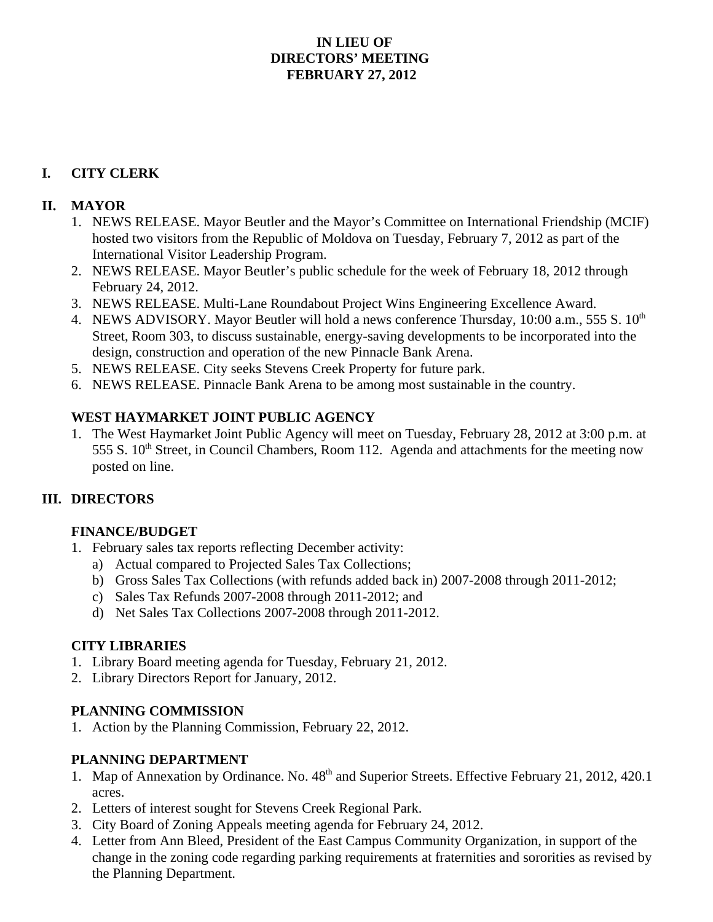## **IN LIEU OF DIRECTORS' MEETING FEBRUARY 27, 2012**

# **I. CITY CLERK**

### **II. MAYOR**

- 1. NEWS RELEASE. Mayor Beutler and the Mayor's Committee on International Friendship (MCIF) hosted two visitors from the Republic of Moldova on Tuesday, February 7, 2012 as part of the International Visitor Leadership Program.
- 2. NEWS RELEASE. Mayor Beutler's public schedule for the week of February 18, 2012 through February 24, 2012.
- 3. NEWS RELEASE. Multi-Lane Roundabout Project Wins Engineering Excellence Award.
- 4. NEWS ADVISORY. Mayor Beutler will hold a news conference Thursday, 10:00 a.m., 555 S. 10<sup>th</sup> Street, Room 303, to discuss sustainable, energy-saving developments to be incorporated into the design, construction and operation of the new Pinnacle Bank Arena.
- 5. NEWS RELEASE. City seeks Stevens Creek Property for future park.
- 6. NEWS RELEASE. Pinnacle Bank Arena to be among most sustainable in the country.

## **WEST HAYMARKET JOINT PUBLIC AGENCY**

1. The West Haymarket Joint Public Agency will meet on Tuesday, February 28, 2012 at 3:00 p.m. at 555 S. 10<sup>th</sup> Street, in Council Chambers, Room 112. Agenda and attachments for the meeting now posted on line.

## **III. DIRECTORS**

#### **FINANCE/BUDGET**

- 1. February sales tax reports reflecting December activity:
	- a) Actual compared to Projected Sales Tax Collections;
	- b) Gross Sales Tax Collections (with refunds added back in) 2007-2008 through 2011-2012;
	- c) Sales Tax Refunds 2007-2008 through 2011-2012; and
	- d) Net Sales Tax Collections 2007-2008 through 2011-2012.

#### **CITY LIBRARIES**

- 1. Library Board meeting agenda for Tuesday, February 21, 2012.
- 2. Library Directors Report for January, 2012.

#### **PLANNING COMMISSION**

1. Action by the Planning Commission, February 22, 2012.

## **PLANNING DEPARTMENT**

- 1. Map of Annexation by Ordinance. No.  $48<sup>th</sup>$  and Superior Streets. Effective February 21, 2012, 420.1 acres.
- 2. Letters of interest sought for Stevens Creek Regional Park.
- 3. City Board of Zoning Appeals meeting agenda for February 24, 2012.
- 4. Letter from Ann Bleed, President of the East Campus Community Organization, in support of the change in the zoning code regarding parking requirements at fraternities and sororities as revised by the Planning Department.